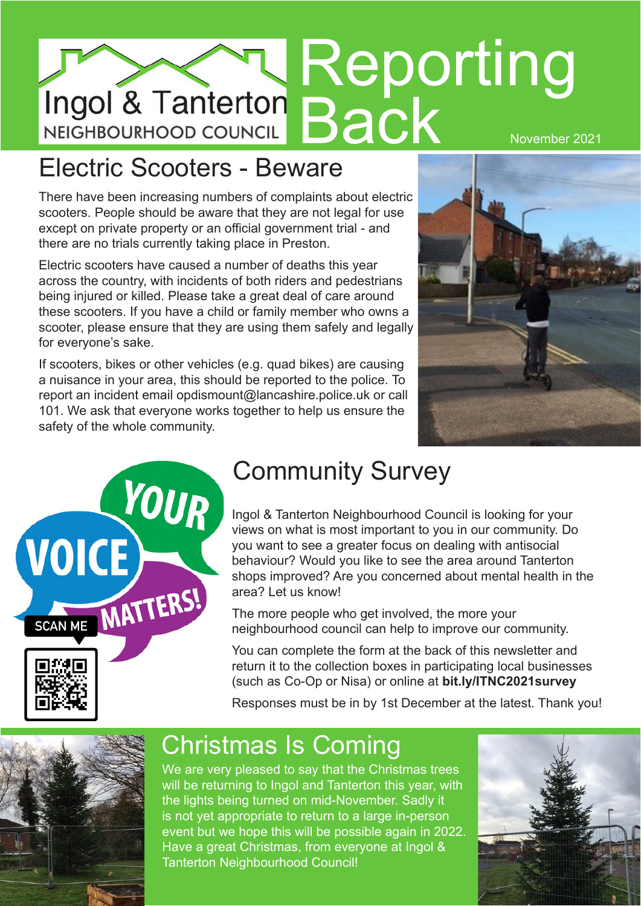# Reporting **Back** November 2021

#### Electric Scooters - Beware

There have been increasing numbers of complaints about electric scooters. People should be aware that they are not legal for use except on private property or an official government trial - and there are no trials currently taking place in Preston.

Electric scooters have caused a number of deaths this year across the country, with incidents of both riders and pedestrians being injured or killed. Please take a great deal of care around these scooters. If you have a child or family member who owns a scooter, please ensure that they are using them safely and legally for everyone's sake.

If scooters, bikes or other vehicles (e.g. quad bikes) are causing a nuisance in your area, this should be reported to the police. To report an incident email opdismount@lancashire.police.uk or call 101. We ask that everyone works together to help us ensure the safety of the whole community.





### Community Survey

Ingol & Tanterton Neighbourhood Council is looking for your views on what is most important to you in our community. Do you want to see a greater focus on dealing with antisocial behaviour? Would you like to see the area around Tanterton shops improved? Are you concerned about mental health in the area? Let us know!

The more people who get involved, the more your neighbourhood council can help to improve our community.

You can complete the form at the back of this newsletter and return it to the collection boxes in participating local businesses (such as Co-Op or Nisa) or online at **bit.ly/ITNC2021survey**

Responses must be in by 1st December at the latest. Thank you!



#### Christmas Is Coming

We are very pleased to say that the Christmas trees will be returning to Ingol and Tanterton this year, with the lights being turned on mid-November. Sadly it is not yet appropriate to return to a large in-person event but we hope this will be possible again in 2022. Have a great Christmas, from everyone at Ingol & Tanterton Neighbourhood Council!

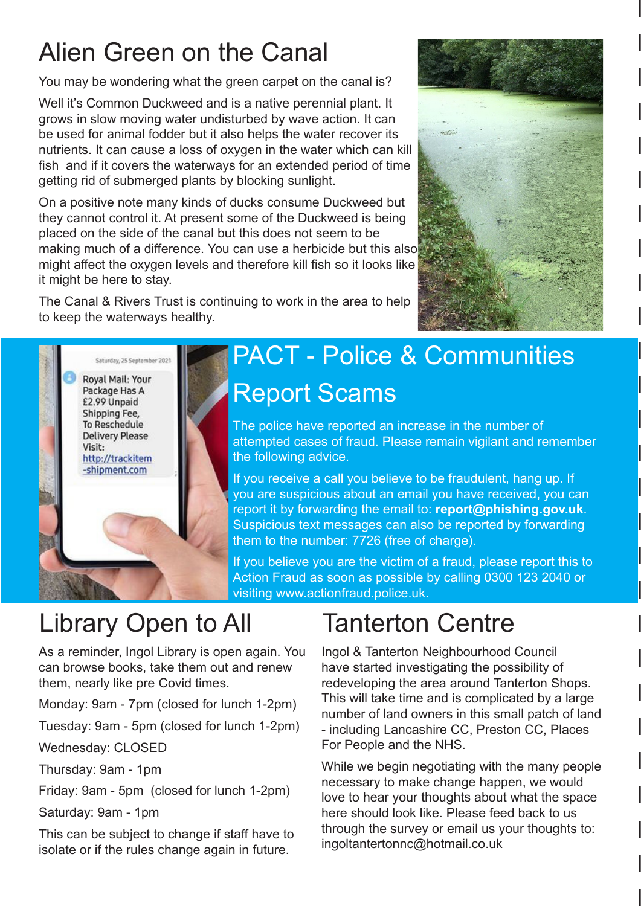### Alien Green on the Canal

You may be wondering what the green carpet on the canal is?

Well it's Common Duckweed and is a native perennial plant. It grows in slow moving water undisturbed by wave action. It can be used for animal fodder but it also helps the water recover its nutrients. It can cause a loss of oxygen in the water which can kill fish and if it covers the waterways for an extended period of time getting rid of submerged plants by blocking sunlight.

On a positive note many kinds of ducks consume Duckweed but they cannot control it. At present some of the Duckweed is being placed on the side of the canal but this does not seem to be making much of a difference. You can use a herbicide but this also might affect the oxygen levels and therefore kill fish so it looks like it might be here to stay.

The Canal & Rivers Trust is continuing to work in the area to help to keep the waterways healthy.



# Report Scams PACT - Police & Communities

The police have reported an increase in the number of attempted cases of fraud. Please remain vigilant and remember the following advice.

If you receive a call you believe to be fraudulent, hang up. If you are suspicious about an email you have received, you can report it by forwarding the email to: **report@phishing.gov.uk**. Suspicious text messages can also be reported by forwarding them to the number: 7726 (free of charge).

If you believe you are the victim of a fraud, please report this to Action Fraud as soon as possible by calling 0300 123 2040 or visiting www.actionfraud.police.uk.

# Library Open to All

As a reminder, Ingol Library is open again. You can browse books, take them out and renew them, nearly like pre Covid times.

Monday: 9am - 7pm (closed for lunch 1-2pm)

Tuesday: 9am - 5pm (closed for lunch 1-2pm)

Wednesday: CLOSED

Thursday: 9am - 1pm

Friday: 9am - 5pm (closed for lunch 1-2pm)

Saturday: 9am - 1pm

This can be subject to change if staff have to isolate or if the rules change again in future.

# Tanterton Centre

Ingol & Tanterton Neighbourhood Council have started investigating the possibility of redeveloping the area around Tanterton Shops. This will take time and is complicated by a large number of land owners in this small patch of land - including Lancashire CC, Preston CC, Places For People and the NHS.

While we begin negotiating with the many people necessary to make change happen, we would love to hear your thoughts about what the space here should look like. Please feed back to us through the survey or email us your thoughts to: ingoltantertonnc@hotmail.co.uk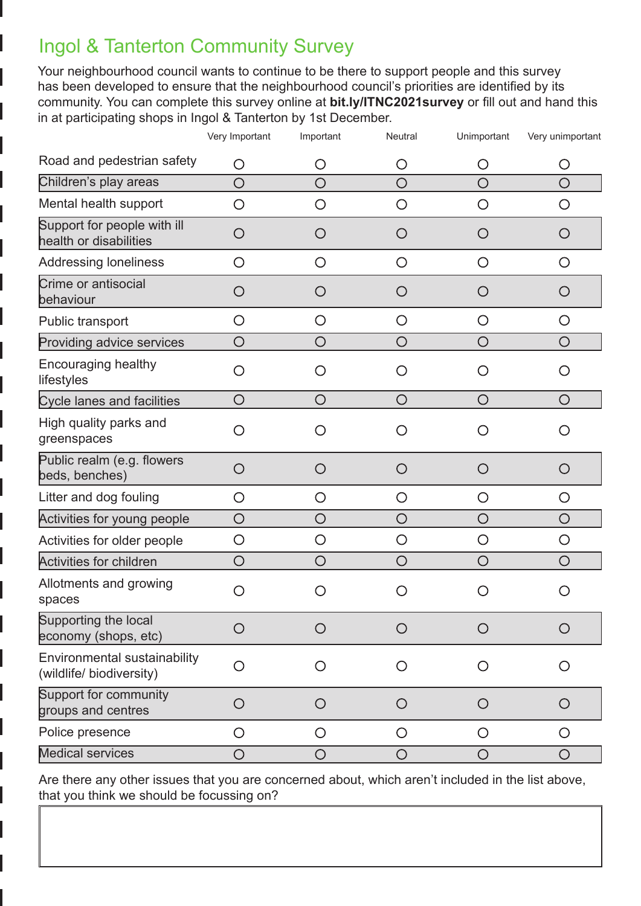#### Ingol & Tanterton Community Survey

Your neighbourhood council wants to continue to be there to support people and this survey has been developed to ensure that the neighbourhood council's priorities are identified by its community. You can complete this survey online at **bit.ly/ITNC2021survey** or fill out and hand this in at participating shops in Ingol & Tanterton by 1st December.

|                                                          | Very Important | Important                                     | Neutral    | Unimportant | Very unimportant |
|----------------------------------------------------------|----------------|-----------------------------------------------|------------|-------------|------------------|
| Road and pedestrian safety                               | O              | O                                             | O          | O           | O                |
| Children's play areas                                    | $\bigcirc$     | $\bigcirc$                                    | $\bigcirc$ | $\bigcirc$  | $\bigcirc$       |
| Mental health support                                    | O              | O                                             | O          | O           | O                |
| Support for people with ill<br>health or disabilities    | O              | O                                             | O          | O           | O                |
| <b>Addressing loneliness</b>                             | O              | $\bigcirc$                                    | $\bigcirc$ | $\bigcirc$  | $\bigcirc$       |
| Crime or antisocial<br>behaviour                         | $\bigcirc$     | O                                             | $\bigcirc$ | O           | O                |
| Public transport                                         | O              | O                                             | O          | O           | O                |
| Providing advice services                                | $\bigcirc$     | O                                             | $\bigcirc$ | O           | $\bigcirc$       |
| <b>Encouraging healthy</b><br>lifestyles                 | O              | $\left(\begin{array}{c} 1 \end{array}\right)$ | O          |             | O                |
| <b>Cycle lanes and facilities</b>                        | $\bigcirc$     | O                                             | $\bigcirc$ | O           | O                |
| High quality parks and<br>greenspaces                    | O              | 0                                             | ◯          |             | ( )              |
| Public realm (e.g. flowers<br>beds, benches)             | O              | O                                             | O          | O           | O                |
| Litter and dog fouling                                   | O              | O                                             | $\bigcirc$ | O           | O                |
| Activities for young people                              | $\bigcirc$     | $\bigcirc$                                    | $\bigcirc$ | $\bigcirc$  | $\bigcirc$       |
| Activities for older people                              | O              | O                                             | $\bigcirc$ | O           | $\bigcirc$       |
| <b>Activities for children</b>                           | $\bigcirc$     | O                                             | $\bigcirc$ | O           | O                |
| Allotments and growing<br>spaces                         | O              |                                               | ( )        |             | ( )              |
| Supporting the local<br>economy (shops, etc)             | O              |                                               | O          |             | O                |
| Environmental sustainability<br>(wildlife/ biodiversity) | O              | O                                             | O          | $\bigcirc$  | O                |
| Support for community<br>groups and centres              | $\bigcirc$     | O                                             | $\bigcirc$ | O           | $\bigcirc$       |
| Police presence                                          | $\bigcirc$     | O                                             | $\bigcirc$ | O           | $\bigcirc$       |
| <b>Medical services</b>                                  | $\bigcirc$     | $\bigcirc$                                    | $\bigcirc$ | $\bigcirc$  | $\bigcirc$       |

Are there any other issues that you are concerned about, which aren't included in the list above, that you think we should be focussing on?